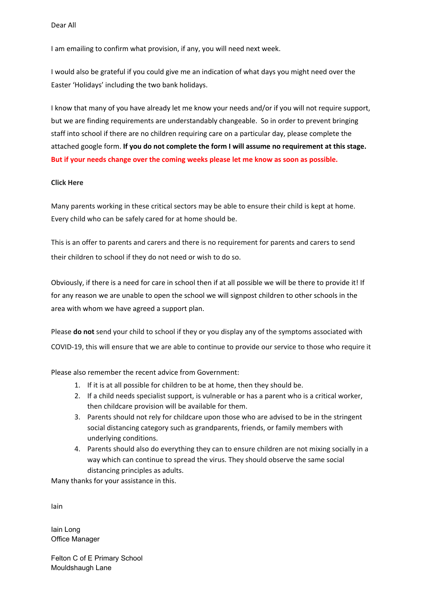Dear All

I am emailing to confirm what provision, if any, you will need next week.

I would also be grateful if you could give me an indication of what days you might need over the Easter 'Holidays' including the two bank holidays.

I know that many of you have already let me know your needs and/or if you will not require support, but we are finding requirements are understandably changeable. So in order to prevent bringing staff into school if there are no children requiring care on a particular day, please complete the attached google form. **If you do not complete the form I will assume no requirement at this stage. But if your needs change over the coming weeks please let me know as soon as possible.**

## **Click Here**

Many parents working in these critical sectors may be able to ensure their child is kept at home. Every child who can be safely cared for at home should be.

This is an offer to parents and carers and there is no requirement for parents and carers to send their children to school if they do not need or wish to do so.

Obviously, if there is a need for care in school then if at all possible we will be there to provide it! If for any reason we are unable to open the school we will signpost children to other schools in the area with whom we have agreed a support plan.

Please **do not** send your child to school if they or you display any of the symptoms associated with COVID-19, this will ensure that we are able to continue to provide our service to those who require it

Please also remember the recent advice from Government:

- 1. If it is at all possible for children to be at home, then they should be.
- 2. If a child needs specialist support, is vulnerable or has a parent who is a critical worker, then childcare provision will be available for them.
- 3. Parents should not rely for childcare upon those who are advised to be in the stringent social distancing category such as grandparents, friends, or family members with underlying conditions.
- 4. Parents should also do everything they can to ensure children are not mixing socially in a way which can continue to spread the virus. They should observe the same social distancing principles as adults.

Many thanks for your assistance in this.

Iain

Iain Long Office Manager

Felton C of E Primary School Mouldshaugh Lane